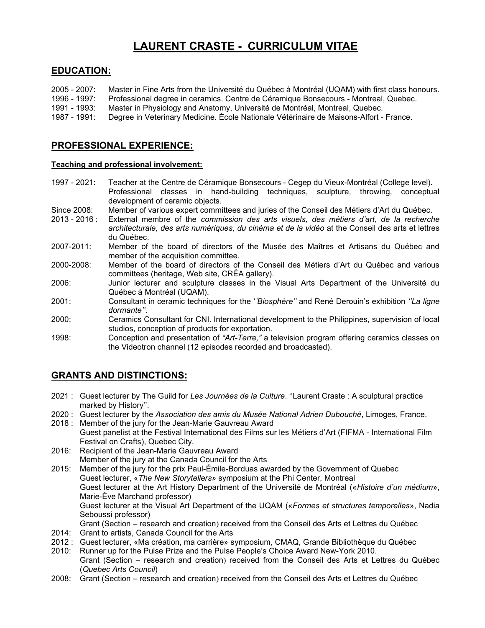# LAURENT CRASTE - CURRICULUM VITAE

### EDUCATION:

2005 - 2007: Master in Fine Arts from the Université du Québec à Montréal (UQAM) with first class honours. 1996 - 1997: Professional degree in ceramics. Centre de Céramique Bonsecours - Montreal, Quebec. 1991 - 1993: Master in Physiology and Anatomy, Université de Montréal, Montreal, Quebec. 1987 - 1991: Degree in Veterinary Medicine. École Nationale Vétérinaire de Maisons-Alfort - France.

## PROFESSIONAL EXPERIENCE:

#### Teaching and professional involvement:

1997 - 2021: Teacher at the Centre de Céramique Bonsecours - Cegep du Vieux-Montréal (College level). Professional classes in hand-building techniques, sculpture, throwing, conceptual development of ceramic objects.

- Since 2008: Member of various expert committees and juries of the Conseil des Métiers d'Art du Québec.
- 2013 2016 : External membre of the commission des arts visuels, des métiers d'art, de la recherche architecturale, des arts numériques, du cinéma et de la vidéo at the Conseil des arts et lettres du Québec.
- 2007-2011: Member of the board of directors of the Musée des Maîtres et Artisans du Québec and member of the acquisition committee.
- 2000-2008: Member of the board of directors of the Conseil des Métiers d'Art du Québec and various committees (heritage, Web site, CRÉA gallery).
- 2006: Junior lecturer and sculpture classes in the Visual Arts Department of the Université du Québec à Montréal (UQAM).
- 2001: Consultant in ceramic techniques for the ''Biosphère'' and René Derouin's exhibition ''La ligne dormante''.
- 2000: Ceramics Consultant for CNI. International development to the Philippines, supervision of local studios, conception of products for exportation.
- 1998: Conception and presentation of "Art-Terre," a television program offering ceramics classes on the Videotron channel (12 episodes recorded and broadcasted).

# GRANTS AND DISTINCTIONS:

- 2021 : Guest lecturer by The Guild for Les Journées de la Culture. "Laurent Craste : A sculptural practice marked by History''.
- 2020 : Guest lecturer by the Association des amis du Musée National Adrien Dubouché, Limoges, France.
- 2018 : Member of the jury for the Jean-Marie Gauvreau Award Guest panelist at the Festival International des Films sur les Métiers d'Art (FIFMA - International Film Festival on Crafts), Quebec City.
- 2016: Recipient of the Jean-Marie Gauvreau Award Member of the jury at the Canada Council for the Arts
- 2015: Member of the jury for the prix Paul-Émile-Borduas awarded by the Government of Quebec Guest lecturer, «The New Storytellers» symposium at the Phi Center, Montreal Guest lecturer at the Art History Department of the Université de Montréal («Histoire d'un médium», Marie-Ève Marchand professor) Guest lecturer at the Visual Art Department of the UQAM («Formes et structures temporelles», Nadia Seboussi professor) Grant (Section – research and creation) received from the Conseil des Arts et Lettres du Québec 2014: Grant to artists, Canada Council for the Arts
- 2012 : Guest lecturer, «Ma création, ma carrière» symposium, CMAQ, Grande Bibliothèque du Québec
- 2010: Runner up for the Pulse Prize and the Pulse People's Choice Award New-York 2010.
- Grant (Section research and creation) received from the Conseil des Arts et Lettres du Québec (Quebec Arts Council)
- 2008: Grant (Section research and creation) received from the Conseil des Arts et Lettres du Québec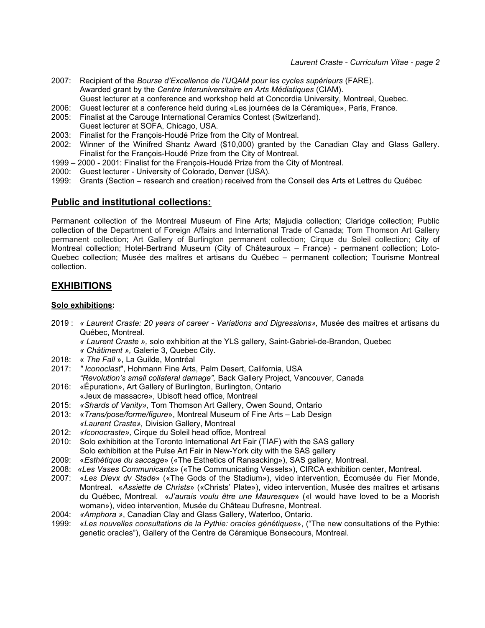- 2007: Recipient of the Bourse d'Excellence de l'UQAM pour les cycles supérieurs (FARE). Awarded grant by the Centre Interuniversitaire en Arts Médiatiques (CIAM). Guest lecturer at a conference and workshop held at Concordia University, Montreal, Quebec.
- 2006: Guest lecturer at a conference held during «Les journées de la Céramique», Paris, France.
- 2005: Finalist at the Carouge International Ceramics Contest (Switzerland).
- Guest lecturer at SOFA, Chicago, USA.
- 2003: Finalist for the François-Houdé Prize from the City of Montreal.
- 2002: Winner of the Winifred Shantz Award (\$10,000) granted by the Canadian Clay and Glass Gallery. Finalist for the François-Houdé Prize from the City of Montreal.
- 1999 2000 2001: Finalist for the François-Houdé Prize from the City of Montreal.
- 2000: Guest lecturer University of Colorado, Denver (USA).
- 1999: Grants (Section research and creation) received from the Conseil des Arts et Lettres du Québec

### Public and institutional collections:

Permanent collection of the Montreal Museum of Fine Arts; Majudia collection; Claridge collection; Public collection of the Department of Foreign Affairs and International Trade of Canada; Tom Thomson Art Gallery permanent collection; Art Gallery of Burlington permanent collection; Cirque du Soleil collection; City of Montreal collection; Hotel-Bertrand Museum (City of Châteauroux – France) - permanent collection; Loto-Quebec collection; Musée des maîtres et artisans du Québec – permanent collection; Tourisme Montreal collection.

### EXHIBITIONS

#### Solo exhibitions:

- 2019 : « Laurent Craste: 20 years of career Variations and Digressions», Musée des maîtres et artisans du Québec, Montreal.
	- « Laurent Craste », solo exhibition at the YLS gallery, Saint-Gabriel-de-Brandon, Quebec
	- « Châtiment », Galerie 3, Quebec City.
- 2018: « The Fall », La Guilde, Montréal
- 2017: " Iconoclast", Hohmann Fine Arts, Palm Desert, California, USA "Revolution's small collateral damage", Back Gallery Project, Vancouver, Canada
- 2016: «Épuration», Art Gallery of Burlington, Burlington, Ontario
- «Jeux de massacre», Ubisoft head office, Montreal
- 2015: «Shards of Vanity», Tom Thomson Art Gallery, Owen Sound, Ontario
- 2013: «Trans/pose/forme/figure», Montreal Museum of Fine Arts Lab Design «Laurent Craste», Division Gallery, Montreal
- 2012: «Iconocraste», Cirque du Soleil head office, Montreal
- 2010: Solo exhibition at the Toronto International Art Fair (TIAF) with the SAS gallery Solo exhibition at the Pulse Art Fair in New-York city with the SAS gallery
- 2009: «Esthétique du saccage» («The Esthetics of Ransacking»), SAS gallery, Montreal.
- 2008: «Les Vases Communicants» («The Communicating Vessels»), CIRCA exhibition center, Montreal.
- 2007: «Les Dievx dv Stade» («The Gods of the Stadium»), video intervention, Écomusée du Fier Monde, Montreal. «Assiette de Christs» («Christs' Plate»), video intervention, Musée des maîtres et artisans du Québec, Montreal. «J'aurais voulu être une Mauresque» («I would have loved to be a Moorish woman»), video intervention, Musée du Château Dufresne, Montreal.
- 2004: «Amphora», Canadian Clay and Glass Gallery, Waterloo, Ontario.
- 1999: «Les nouvelles consultations de la Pythie: oracles génétiques», ("The new consultations of the Pythie: genetic oracles"), Gallery of the Centre de Céramique Bonsecours, Montreal.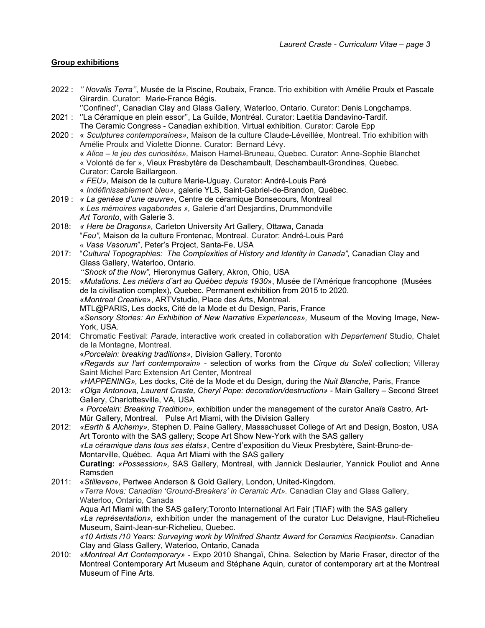#### Group exhibitions

- 2022 : " Novalis Terra", Musée de la Piscine, Roubaix, France. Trio exhibition with Amélie Proulx et Pascale Girardin. Curator: Marie-France Bégis.
	- ''Confined'', Canadian Clay and Glass Gallery, Waterloo, Ontario. Curator: Denis Longchamps.
- 2021 : ''La Céramique en plein essor'', La Guilde, Montréal. Curator: Laetitia Dandavino-Tardif. The Ceramic Congress - Canadian exhibition. Virtual exhibition. Curator: Carole Epp
- 2020 : « Sculptures contemporaines», Maison de la culture Claude-Léveillée, Montreal. Trio exhibition with Amélie Proulx and Violette Dionne. Curator: Bernard Lévy. « Alice – le jeu des curiosités», Maison Hamel-Bruneau, Quebec. Curator: Anne-Sophie Blanchet « Volonté de fer », Vieux Presbytère de Deschambault, Deschambault-Grondines, Quebec. Curator: Carole Baillargeon. « FEU», Maison de la culture Marie-Uguay. Curator: André-Louis Paré « Indéfinissablement bleu», galerie YLS, Saint-Gabriel-de-Brandon, Québec.
- 2019 : « La genèse d'une œuvre», Centre de céramique Bonsecours, Montreal « Les mémoires vagabondes », Galerie d'art Desjardins, Drummondville Art Toronto, with Galerie 3.
- 2018: « Here be Dragons», Carleton University Art Gallery, Ottawa, Canada "Feu", Maison de la culture Frontenac, Montreal. Curator: André-Louis Paré « Vasa Vasorum", Peter's Project, Santa-Fe, USA
- 2017: "Cultural Topographies: The Complexities of History and Identity in Canada", Canadian Clay and Glass Gallery, Waterloo, Ontario.
	- "Shock of the Now", Hieronymus Gallery, Akron, Ohio, USA
- 2015: «Mutations. Les métiers d'art au Québec depuis 1930», Musée de l'Amérique francophone (Musées de la civilisation complex), Quebec. Permanent exhibition from 2015 to 2020. «Montreal Creative», ARTVstudio, Place des Arts, Montreal. MTL@PARIS, Les docks, Cité de la Mode et du Design, Paris, France «Sensory Stories: An Exhibition of New Narrative Experiences», Museum of the Moving Image, New-York, USA.
- 2014: Chromatic Festival: Parade, interactive work created in collaboration with Departement Studio, Chalet de la Montagne, Montreal. «Porcelain: breaking traditions», Division Gallery, Toronto «Regards sur l'art contemporain» - selection of works from the Cirque du Soleil collection; Villeray Saint Michel Parc Extension Art Center, Montreal
- «HAPPENING», Les docks, Cité de la Mode et du Design, during the Nuit Blanche, Paris, France 2013: «Olga Antonova, Laurent Craste, Cheryl Pope: decoration/destruction» - Main Gallery – Second Street Gallery, Charlottesville, VA, USA

 « Porcelain: Breaking Tradition», exhibition under the management of the curator Anaïs Castro, Art-Mûr Gallery, Montreal. Pulse Art Miami, with the Division Gallery

2012: «Earth & Alchemy», Stephen D. Paine Gallery, Massachusset College of Art and Design, Boston, USA Art Toronto with the SAS gallery; Scope Art Show New-York with the SAS gallery «La céramique dans tous ses états», Centre d'exposition du Vieux Presbytère, Saint-Bruno-de-Montarville, Québec. Aqua Art Miami with the SAS gallery Curating: «Possession», SAS Gallery, Montreal, with Jannick Deslaurier, Yannick Pouliot and Anne Ramsden

2011: «Stilleven», Pertwee Anderson & Gold Gallery, London, United-Kingdom. «Terra Nova: Canadian 'Ground-Breakers' in Ceramic Art». Canadian Clay and Glass Gallery, Waterloo, Ontario, Canada Aqua Art Miami with the SAS gallery;Toronto International Art Fair (TIAF) with the SAS gallery «La représentation», exhibition under the management of the curator Luc Delavigne, Haut-Richelieu Museum, Saint-Jean-sur-Richelieu, Quebec. «10 Artists /10 Years: Surveying work by Winifred Shantz Award for Ceramics Recipients». Canadian

Clay and Glass Gallery, Waterloo, Ontario, Canada

2010: «Montreal Art Contemporary» - Expo 2010 Shangaï, China. Selection by Marie Fraser, director of the Montreal Contemporary Art Museum and Stéphane Aquin, curator of contemporary art at the Montreal Museum of Fine Arts.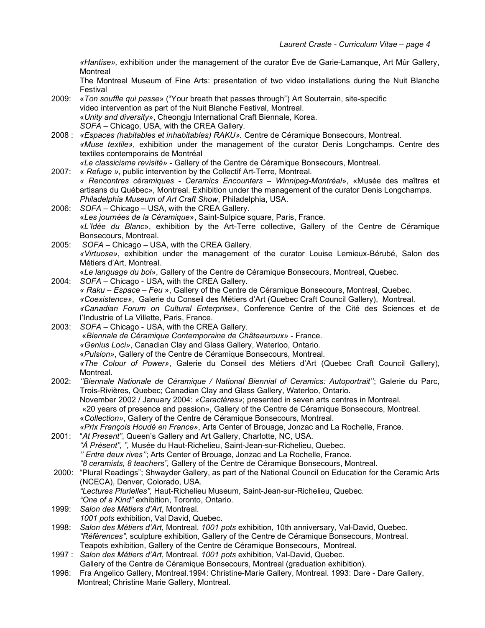«Hantise», exhibition under the management of the curator Ève de Garie-Lamanque, Art Mûr Gallery, **Montreal** 

The Montreal Museum of Fine Arts: presentation of two video installations during the Nuit Blanche Festival

- 2009: «Ton souffle qui passe» ("Your breath that passes through") Art Souterrain, site-specific video intervention as part of the Nuit Blanche Festival, Montreal. «Unity and diversity», Cheongju International Craft Biennale, Korea. SOFA – Chicago, USA, with the CREA Gallery.
- 2008 : «Espaces (habitables et inhabitables) RAKU». Centre de Céramique Bonsecours, Montreal. «Muse textile», exhibition under the management of the curator Denis Longchamps. Centre des textiles contemporains de Montréal

«Le classicisme revisité» - Gallery of the Centre de Céramique Bonsecours, Montreal.

- 2007: « Refuge », public intervention by the Collectif Art-Terre, Montreal. « Rencontres céramiques - Ceramics Encounters – Winnipeg-Montréal», «Musée des maîtres et artisans du Québec», Montreal. Exhibition under the management of the curator Denis Longchamps. Philadelphia Museum of Art Craft Show, Philadelphia, USA.
- 2006: SOFA Chicago USA, with the CREA Gallery. «Les journées de la Céramique», Saint-Sulpice square, Paris, France. «L'Idée du Blanc», exhibition by the Art-Terre collective, Gallery of the Centre de Céramique Bonsecours, Montreal.
- 2005: SOFA Chicago USA, with the CREA Gallery. «Virtuose», exhibition under the management of the curator Louise Lemieux-Bérubé, Salon des Métiers d'Art, Montreal. «Le language du bol», Gallery of the Centre de Céramique Bonsecours, Montreal, Quebec.
- 2004: SOFA Chicago USA, with the CREA Gallery. « Raku – Espace – Feu », Gallery of the Centre de Céramique Bonsecours, Montreal, Quebec. «Coexistence», Galerie du Conseil des Métiers d'Art (Quebec Craft Council Gallery), Montreal. «Canadian Forum on Cultural Enterprise», Conference Centre of the Cité des Sciences et de l'Industrie of La Villette, Paris, France.
- 2003: SOFA Chicago USA, with the CREA Gallery. «Biennale de Céramique Contemporaine de Châteauroux» - France. «Genius Loci», Canadian Clay and Glass Gallery, Waterloo, Ontario. «Pulsion», Gallery of the Centre de Céramique Bonsecours, Montreal. «The Colour of Power», Galerie du Conseil des Métiers d'Art (Quebec Craft Council Gallery), Montreal.
- 2002: ''Biennale Nationale de Céramique / National Biennial of Ceramics: Autoportrait''; Galerie du Parc, Trois-Rivières, Quebec; Canadian Clay and Glass Gallery, Waterloo, Ontario. November 2002 / January 2004: «Caractères»; presented in seven arts centres in Montreal. «20 years of presence and passion», Gallery of the Centre de Céramique Bonsecours, Montreal. «Collection», Gallery of the Centre de Céramique Bonsecours, Montreal. «Prix François Houdé en France», Arts Center of Brouage, Jonzac and La Rochelle, France.
- 2001: "At Present", Queen's Gallery and Art Gallery, Charlotte, NC, USA. "À Présent", ", Musée du Haut-Richelieu, Saint-Jean-sur-Richelieu, Quebec. '' Entre deux rives''; Arts Center of Brouage, Jonzac and La Rochelle, France. "8 ceramists, 8 teachers", Gallery of the Centre de Céramique Bonsecours, Montreal.
- 2000: "Plural Readings"; Shwayder Gallery, as part of the National Council on Education for the Ceramic Arts (NCECA), Denver, Colorado, USA. "Lectures Plurielles", Haut-Richelieu Museum, Saint-Jean-sur-Richelieu, Quebec. "One of a Kind" exhibition, Toronto, Ontario.
- 1999: Salon des Métiers d'Art, Montreal. 1001 pots exhibition, Val David, Quebec.
- 1998: Salon des Métiers d'Art, Montreal. 1001 pots exhibition, 10th anniversary, Val-David, Quebec. "Références", sculpture exhibition, Gallery of the Centre de Céramique Bonsecours, Montreal. Teapots exhibition, Gallery of the Centre de Céramique Bonsecours, Montreal.
- 1997 : Salon des Métiers d'Art, Montreal. 1001 pots exhibition, Val-David, Quebec. Gallery of the Centre de Céramique Bonsecours, Montreal (graduation exhibition).
- 1996: Fra Angelico Gallery, Montreal.1994: Christine-Marie Gallery, Montreal. 1993: Dare Dare Gallery, Montreal; Christine Marie Gallery, Montreal.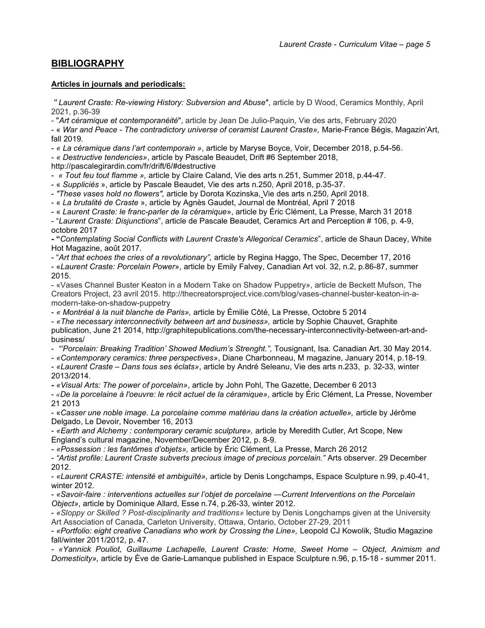### **BIBLIOGRAPHY**

#### Articles in journals and periodicals:

'' Laurent Craste: Re-viewing History: Subversion and Abuse'', article by D Wood, Ceramics Monthly, April 2021, p.36-39

- "Art céramique et contemporanéité", article by Jean De Julio-Paquin, Vie des arts, February 2020

- « War and Peace - The contradictory universe of ceramist Laurent Craste», Marie-France Bégis, Magazin'Art, fall 2019.

- « La céramique dans l'art contemporain », article by Maryse Boyce, Voir, December 2018, p.54-56.

- « Destructive tendencies», article by Pascale Beaudet, Drift #6 September 2018,

http://pascalegirardin.com/fr/drift/6/#destructive

- « Tout feu tout flamme », article by Claire Caland, Vie des arts n.251, Summer 2018, p.44-47.

- « Suppliciés », article by Pascale Beaudet, Vie des arts n.250, April 2018, p.35-37.

- "These vases hold no flowers", article by Dorota Kozinska, Vie des arts n.250, April 2018.

- « La brutalité de Craste », article by Agnès Gaudet, Journal de Montréal, April 7 2018

- « Laurent Craste: le franc-parler de la céramique», article by Éric Clément, La Presse, March 31 2018

- "Laurent Craste: Disjunctions", article de Pascale Beaudet, Ceramics Art and Perception # 106, p. 4-9, octobre 2017

- "Contemplating Social Conflicts with Laurent Craste's Allegorical Ceramics", article de Shaun Dacey, White Hot Magazine, août 2017.

- "Art that echoes the cries of a revolutionary", article by Regina Haggo, The Spec, December 17, 2016

- «Laurent Craste: Porcelain Power», article by Emily Falvey, Canadian Art vol. 32, n.2, p.86-87, summer 2015.

- «Vases Channel Buster Keaton in a Modern Take on Shadow Puppetry», article de Beckett Mufson, The Creators Project, 23 avril 2015. http://thecreatorsproject.vice.com/blog/vases-channel-buster-keaton-in-amodern-take-on-shadow-puppetry

- « Montréal à la nuit blanche de Paris», article by Émilie Côté, La Presse, Octobre 5 2014

- «The necessary interconnectivity between art and business», article by Sophie Chauvet, Graphite publication, June 21 2014, http://graphitepublications.com/the-necessary-interconnectivity-between-art-andbusiness/

- "Porcelain: Breaking Tradition' Showed Medium's Strenght.", Tousignant, Isa. Canadian Art. 30 May 2014.

- «Contemporary ceramics: three perspectives», Diane Charbonneau, M magazine, January 2014, p.18-19.

- «Laurent Craste – Dans tous ses éclats», article by André Seleanu, Vie des arts n.233, p. 32-33, winter 2013/2014.

- «Visual Arts: The power of porcelain», article by John Pohl, The Gazette, December 6 2013

- «De la porcelaine à l'oeuvre: le récit actuel de la céramique», article by Éric Clément, La Presse, November 21 2013

- «Casser une noble image. La porcelaine comme matériau dans la création actuelle», article by Jérôme Delgado, Le Devoir, November 16, 2013

- «Earth and Alchemy : contemporary ceramic sculpture», article by Meredith Cutler, Art Scope, New England's cultural magazine, November/December 2012, p. 8-9.

- «Possession : les fantômes d'objets», article by Éric Clément, La Presse, March 26 2012

- "Artist profile: Laurent Craste subverts precious image of precious porcelain." Arts observer. 29 December 2012.

- «Laurent CRASTE: intensité et ambiguïté», article by Denis Longchamps, Espace Sculpture n.99, p.40-41, winter 2012.

- «Savoir-faire : interventions actuelles sur l'objet de porcelaine —Current Interventions on the Porcelain Object», article by Dominique Allard, Esse n.74, p.26-33, winter 2012.

- «Sloppy or Skilled ? Post-disciplinarity and traditions» lecture by Denis Longchamps given at the University Art Association of Canada, Carleton University, Ottawa, Ontario, October 27-29, 2011

- «Portfolio: eight creative Canadians who work by Crossing the Line», Leopold CJ Kowolik, Studio Magazine fall/winter 2011/2012, p. 47.

- «Yannick Pouliot, Guillaume Lachapelle, Laurent Craste: Home, Sweet Home – Object, Animism and Domesticity», article by Ève de Garie-Lamanque published in Espace Sculpture n.96, p.15-18 - summer 2011.